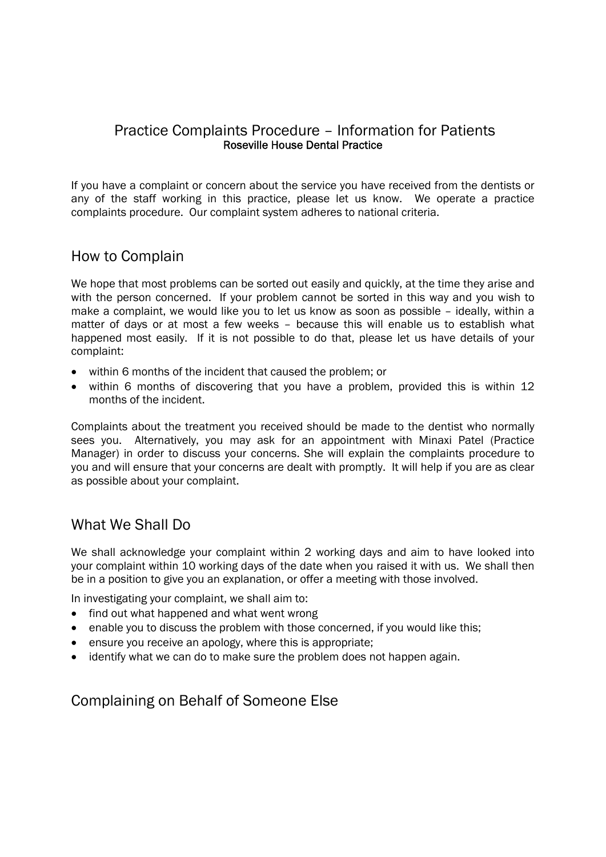#### Practice Complaints Procedure – Information for Patients Roseville House Dental Practice

If you have a complaint or concern about the service you have received from the dentists or any of the staff working in this practice, please let us know. We operate a practice complaints procedure. Our complaint system adheres to national criteria.

### How to Complain

We hope that most problems can be sorted out easily and quickly, at the time they arise and with the person concerned. If your problem cannot be sorted in this way and you wish to make a complaint, we would like you to let us know as soon as possible – ideally, within a matter of days or at most a few weeks – because this will enable us to establish what happened most easily. If it is not possible to do that, please let us have details of your complaint:

- within 6 months of the incident that caused the problem; or
- within 6 months of discovering that you have a problem, provided this is within 12 months of the incident.

Complaints about the treatment you received should be made to the dentist who normally sees you. Alternatively, you may ask for an appointment with Minaxi Patel (Practice Manager) in order to discuss your concerns. She will explain the complaints procedure to you and will ensure that your concerns are dealt with promptly. It will help if you are as clear as possible about your complaint.

## What We Shall Do

We shall acknowledge your complaint within 2 working days and aim to have looked into your complaint within 10 working days of the date when you raised it with us. We shall then be in a position to give you an explanation, or offer a meeting with those involved.

In investigating your complaint, we shall aim to:

- find out what happened and what went wrong
- enable you to discuss the problem with those concerned, if you would like this;
- ensure you receive an apology, where this is appropriate;
- identify what we can do to make sure the problem does not happen again.

Complaining on Behalf of Someone Else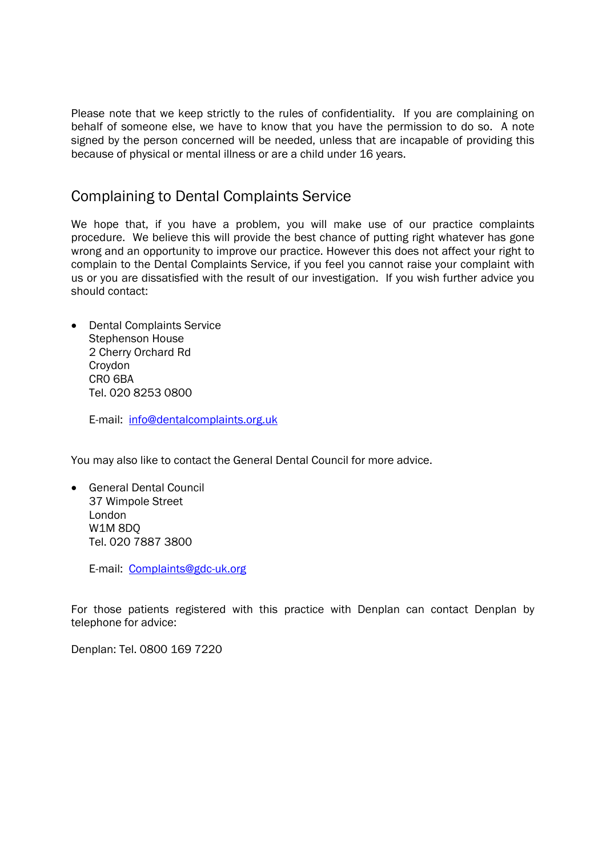Please note that we keep strictly to the rules of confidentiality. If you are complaining on behalf of someone else, we have to know that you have the permission to do so. A note signed by the person concerned will be needed, unless that are incapable of providing this because of physical or mental illness or are a child under 16 years.

# Complaining to Dental Complaints Service

We hope that, if you have a problem, you will make use of our practice complaints procedure. We believe this will provide the best chance of putting right whatever has gone wrong and an opportunity to improve our practice. However this does not affect your right to complain to the Dental Complaints Service, if you feel you cannot raise your complaint with us or you are dissatisfied with the result of our investigation. If you wish further advice you should contact:

• Dental Complaints Service Stephenson House 2 Cherry Orchard Rd Croydon CR0 6BA Tel. 020 8253 0800

E-mail: info@dentalcomplaints.org.uk

You may also like to contact the General Dental Council for more advice.

 General Dental Council 37 Wimpole Street London W1M 8DQ Tel. 020 7887 3800

E-mail: Complaints@gdc-uk.org

For those patients registered with this practice with Denplan can contact Denplan by telephone for advice:

Denplan: Tel. 0800 169 7220